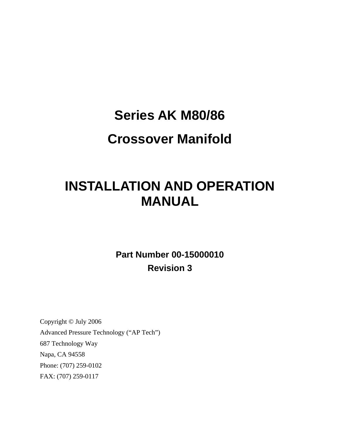# **Series AK M80/86**

# **Crossover Manifold**

# **INSTALLATION AND OPERATION MANUAL**

**Part Number 00-15000010 Revision 3** 

Copyright © July 2006 Advanced Pressure Technology ("AP Tech") 687 Technology Way Napa, CA 94558 Phone: (707) 259-0102 FAX: (707) 259-0117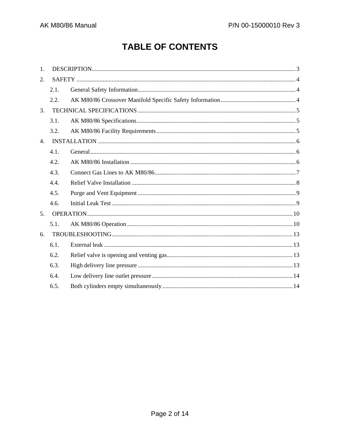# **TABLE OF CONTENTS**

| $\mathbf{1}$ . |      |  |  |
|----------------|------|--|--|
| 2.             |      |  |  |
|                | 2.1. |  |  |
|                | 2.2. |  |  |
| 3.             |      |  |  |
|                | 3.1. |  |  |
|                | 3.2. |  |  |
| 4.             |      |  |  |
|                | 4.1. |  |  |
|                | 4.2. |  |  |
|                | 4.3. |  |  |
|                | 4.4. |  |  |
|                | 4.5. |  |  |
|                | 4.6. |  |  |
| 5.             |      |  |  |
|                | 5.1. |  |  |
| 6.             |      |  |  |
|                | 6.1. |  |  |
|                | 6.2. |  |  |
|                | 6.3. |  |  |
|                | 6.4. |  |  |
|                | 6.5. |  |  |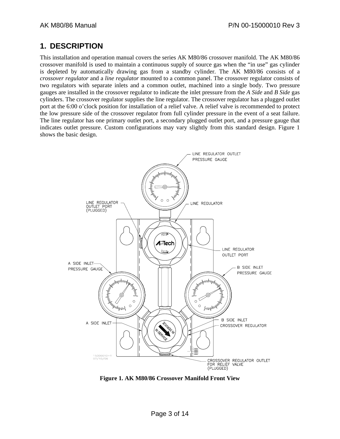## <span id="page-2-0"></span>**1. DESCRIPTION**

This installation and operation manual covers the series AK M80/86 crossover manifold. The AK M80/86 crossover manifold is used to maintain a continuous supply of source gas when the "in use" gas cylinder is depleted by automatically drawing gas from a standby cylinder. The AK M80/86 consists of a *crossover regulator* and a *line regulator* mounted to a common panel. The crossover regulator consists of two regulators with separate inlets and a common outlet, machined into a single body. Two pressure gauges are installed in the crossover regulator to indicate the inlet pressure from the *A Side* and *B Side* gas cylinders. The crossover regulator supplies the line regulator. The crossover regulator has a plugged outlet port at the 6:00 o'clock position for installation of a relief valve. A relief valve is recommended to protect the low pressure side of the crossover regulator from full cylinder pressure in the event of a seat failure. The line regulator has one primary outlet port, a secondary plugged outlet port, and a pressure gauge that indicates outlet pressure. Custom configurations may vary slightly from this standard design. [Figure 1](#page-2-1) shows the basic design.



<span id="page-2-1"></span>**Figure 1. AK M80/86 Crossover Manifold Front View**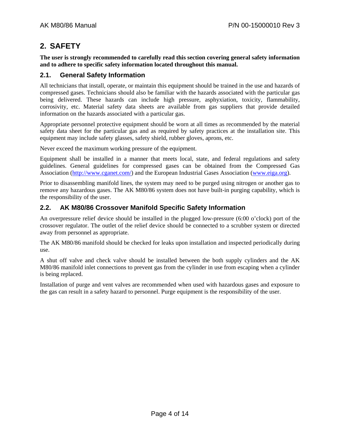## <span id="page-3-0"></span>**2. SAFETY**

**The user is strongly recommended to carefully read this section covering general safety information and to adhere to specific safety information located throughout this manual.** 

#### **2.1. General Safety Information**

All technicians that install, operate, or maintain this equipment should be trained in the use and hazards of compressed gases. Technicians should also be familiar with the hazards associated with the particular gas being delivered. These hazards can include high pressure, asphyxiation, toxicity, flammability, corrosivity, etc. Material safety data sheets are available from gas suppliers that provide detailed information on the hazards associated with a particular gas.

Appropriate personnel protective equipment should be worn at all times as recommended by the material safety data sheet for the particular gas and as required by safety practices at the installation site. This equipment may include safety glasses, safety shield, rubber gloves, aprons, etc.

Never exceed the maximum working pressure of the equipment.

Equipment shall be installed in a manner that meets local, state, and federal regulations and safety guidelines. General guidelines for compressed gases can be obtained from the Compressed Gas Association [\(http://www.cganet.com/\)](http://www.cganet.com/) and the European Industrial Gases Association [\(www.eiga.org](http://www.eiga.org/)).

Prior to disassembling manifold lines, the system may need to be purged using nitrogen or another gas to remove any hazardous gases. The AK M80/86 system does not have built-in purging capability, which is the responsibility of the user.

### **2.2. AK M80/86 Crossover Manifold Specific Safety Information**

An overpressure relief device should be installed in the plugged low-pressure (6:00 o'clock) port of the crossover regulator. The outlet of the relief device should be connected to a scrubber system or directed away from personnel as appropriate.

The AK M80/86 manifold should be checked for leaks upon installation and inspected periodically during use.

A shut off valve and check valve should be installed between the both supply cylinders and the AK M80/86 manifold inlet connections to prevent gas from the cylinder in use from escaping when a cylinder is being replaced.

Installation of purge and vent valves are recommended when used with hazardous gases and exposure to the gas can result in a safety hazard to personnel. Purge equipment is the responsibility of the user.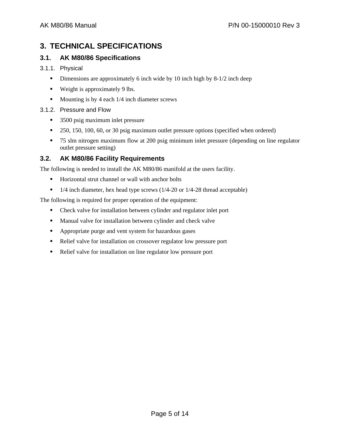# <span id="page-4-0"></span>**3. TECHNICAL SPECIFICATIONS**

## **3.1. AK M80/86 Specifications**

#### 3.1.1. Physical

- Dimensions are approximately 6 inch wide by 10 inch high by 8-1/2 inch deep
- **Weight is approximately 9 lbs.**
- $\blacksquare$  Mounting is by 4 each 1/4 inch diameter screws

#### 3.1.2. Pressure and Flow

- 3500 psig maximum inlet pressure
- <sup>250</sup>, 150, 100, 60, or 30 psig maximum outlet pressure options (specified when ordered)
- 75 slm nitrogen maximum flow at 200 psig minimum inlet pressure (depending on line regulator outlet pressure setting)

### **3.2. AK M80/86 Facility Requirements**

The following is needed to install the AK M80/86 manifold at the users facility.

- Horizontal strut channel or wall with anchor bolts
- $\blacksquare$  1/4 inch diameter, hex head type screws (1/4-20 or 1/4-28 thread acceptable)

The following is required for proper operation of the equipment:

- Check valve for installation between cylinder and regulator inlet port
- **Manual valve for installation between cylinder and check valve**
- **•** Appropriate purge and vent system for hazardous gases
- Relief valve for installation on crossover regulator low pressure port
- Relief valve for installation on line regulator low pressure port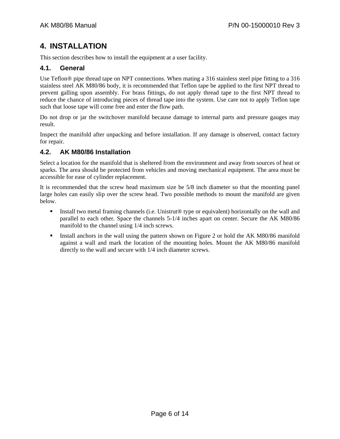# <span id="page-5-0"></span>**4. INSTALLATION**

This section describes how to install the equipment at a user facility.

## **4.1. General**

Use Teflon® pipe thread tape on NPT connections. When mating a 316 stainless steel pipe fitting to a 316 stainless steel AK M80/86 body, it is recommended that Teflon tape be applied to the first NPT thread to prevent galling upon assembly. For brass fittings, do not apply thread tape to the first NPT thread to reduce the chance of introducing pieces of thread tape into the system. Use care not to apply Teflon tape such that loose tape will come free and enter the flow path.

Do not drop or jar the switchover manifold because damage to internal parts and pressure gauges may result.

Inspect the manifold after unpacking and before installation. If any damage is observed, contact factory for repair.

## **4.2. AK M80/86 Installation**

Select a location for the manifold that is sheltered from the environment and away from sources of heat or sparks. The area should be protected from vehicles and moving mechanical equipment. The area must be accessible for ease of cylinder replacement.

It is recommended that the screw head maximum size be 5/8 inch diameter so that the mounting panel large holes can easily slip over the screw head. Two possible methods to mount the manifold are given below.

- Install two metal framing channels (i.e. Unistrut<sup>®</sup> type or equivalent) horizontally on the wall and parallel to each other. Space the channels 5-1/4 inches apart on center. Secure the AK M80/86 manifold to the channel using 1/4 inch screws.
- Install anchors in the wall using the pattern shown on [Figure 2](#page-6-1) or hold the AK M80/86 manifold against a wall and mark the location of the mounting holes. Mount the AK M80/86 manifold directly to the wall and secure with 1/4 inch diameter screws.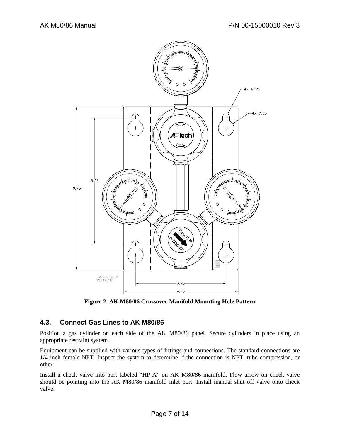<span id="page-6-0"></span>

**Figure 2. AK M80/86 Crossover Manifold Mounting Hole Pattern** 

#### <span id="page-6-1"></span>**4.3. Connect Gas Lines to AK M80/86**

Position a gas cylinder on each side of the AK M80/86 panel. Secure cylinders in place using an appropriate restraint system.

Equipment can be supplied with various types of fittings and connections. The standard connections are 1/4 inch female NPT. Inspect the system to determine if the connection is NPT, tube compression, or other.

Install a check valve into port labeled "HP-A" on AK M80/86 manifold. Flow arrow on check valve should be pointing into the AK M80/86 manifold inlet port. Install manual shut off valve onto check valve.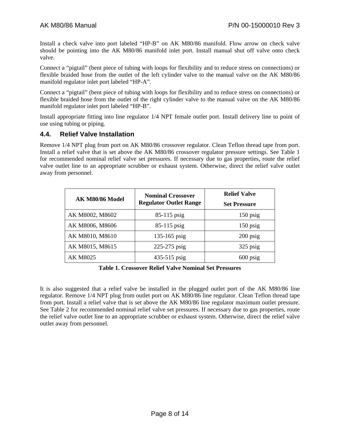<span id="page-7-0"></span>Install a check valve into port labeled "HP-B" on AK M80/86 manifold. Flow arrow on check valve should be pointing into the AK M80/86 manifold inlet port. Install manual shut off valve onto check valve.

Connect a "pigtail" (bent piece of tubing with loops for flexibility and to reduce stress on connections) or flexible braided hose from the outlet of the left cylinder valve to the manual valve on the AK M80/86 manifold regulator inlet port labeled "HP-A".

Connect a "pigtail" (bent piece of tubing with loops for flexibility and to reduce stress on connections) or flexible braided hose from the outlet of the right cylinder valve to the manual valve on the AK M80/86 manifold regulator inlet port labeled "HP-B".

Install appropriate fitting into line regulator 1/4 NPT female outlet port. Install delivery line to point of use using tubing or piping.

#### **4.4. Relief Valve Installation**

Remove 1/4 NPT plug from port on AK M80/86 crossover regulator. Clean Teflon thread tape from port. Install a relief valve that is set above the AK M80/86 crossover regulator pressure settings. See [Table 1](#page-7-1) for recommended nominal relief valve set pressures. If necessary due to gas properties, route the relief valve outlet line to an appropriate scrubber or exhaust system. Otherwise, direct the relief valve outlet away from personnel.

| <b>AK M80/86 Model</b> | <b>Nominal Crossover</b><br><b>Regulator Outlet Range</b> | <b>Relief Valve</b><br><b>Set Pressure</b> |
|------------------------|-----------------------------------------------------------|--------------------------------------------|
|                        |                                                           |                                            |
| AK M8002, M8602        | 85-115 psig                                               | $150$ psig                                 |
| AK M8006, M8606        | $85-115$ psig                                             | $150$ psig                                 |
| AK M8010, M8610        | $135 - 165$ psig                                          | $200$ psig                                 |
| AK M8015, M8615        | 225-275 psig                                              | 325 psig                                   |
| <b>AK M8025</b>        | 435-515 psig                                              | $600$ psig                                 |

**Table 1. Crossover Relief Valve Nominal Set Pressures** 

<span id="page-7-1"></span>It is also suggested that a relief valve be installed in the plugged outlet port of the AK M80/86 line regulator. Remove 1/4 NPT plug from outlet port on AK M80/86 line regulator. Clean Teflon thread tape from port. Install a relief valve that is set above the AK M80/86 line regulator maximum outlet pressure. See [Table 2](#page-8-1) for recommended nominal relief valve set pressures. If necessary due to gas properties, route the relief valve outlet line to an appropriate scrubber or exhaust system. Otherwise, direct the relief valve outlet away from personnel.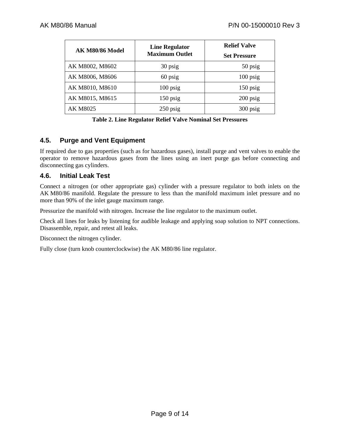<span id="page-8-0"></span>

| AK M80/86 Model | <b>Line Regulator</b> | <b>Relief Valve</b> |
|-----------------|-----------------------|---------------------|
|                 | <b>Maximum Outlet</b> | <b>Set Pressure</b> |
| AK M8002, M8602 | 30 psig               | 50 psig             |
| AK M8006, M8606 | 60 psig               | $100$ psig          |
| AK M8010, M8610 | $100$ psig            | $150$ psig          |
| AK M8015, M8615 | $150$ psig            | $200$ psig          |
| AK M8025        | $250$ psig            | 300 psig            |

**Table 2. Line Regulator Relief Valve Nominal Set Pressures** 

#### <span id="page-8-1"></span>**4.5. Purge and Vent Equipment**

If required due to gas properties (such as for hazardous gases), install purge and vent valves to enable the operator to remove hazardous gases from the lines using an inert purge gas before connecting and disconnecting gas cylinders.

#### **4.6. Initial Leak Test**

Connect a nitrogen (or other appropriate gas) cylinder with a pressure regulator to both inlets on the AK M80/86 manifold. Regulate the pressure to less than the manifold maximum inlet pressure and no more than 90% of the inlet gauge maximum range.

Pressurize the manifold with nitrogen. Increase the line regulator to the maximum outlet.

Check all lines for leaks by listening for audible leakage and applying soap solution to NPT connections. Disassemble, repair, and retest all leaks.

Disconnect the nitrogen cylinder.

Fully close (turn knob counterclockwise) the AK M80/86 line regulator.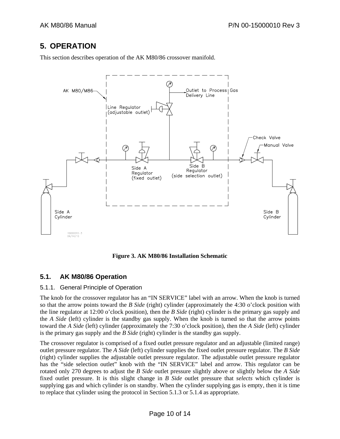# <span id="page-9-0"></span>**5. OPERATION**

This section describes operation of the AK M80/86 crossover manifold.



**Figure 3. AK M80/86 Installation Schematic** 

## **5.1. AK M80/86 Operation**

#### 5.1.1. General Principle of Operation

The knob for the crossover regulator has an "IN SERVICE" label with an arrow. When the knob is turned so that the arrow points toward the *B Side* (right) cylinder (approximately the 4:30 o'clock position with the line regulator at 12:00 o'clock position), then the *B Side* (right) cylinder is the primary gas supply and the *A Side* (left) cylinder is the standby gas supply. When the knob is turned so that the arrow points toward the *A Side* (left) cylinder (approximately the 7:30 o'clock position), then the *A Side* (left) cylinder is the primary gas supply and the *B Side* (right) cylinder is the standby gas supply.

The crossover regulator is comprised of a fixed outlet pressure regulator and an adjustable (limited range) outlet pressure regulator. The *A Side* (left) cylinder supplies the fixed outlet pressure regulator. The *B Side* (right) cylinder supplies the adjustable outlet pressure regulator. The adjustable outlet pressure regulator has the "side selection outlet" knob with the "IN SERVICE" label and arrow. This regulator can be rotated only 270 degrees to adjust the *B Side* outlet pressure slightly above or slightly below the *A Side* fixed outlet pressure. It is this slight change in *B Side* outlet pressure that *selects* which cylinder is supplying gas and which cylinder is on standby. When the cylinder supplying gas is empty, then it is time to replace that cylinder using the protocol in Section [5.1.3](#page-10-0) or [5.1.4](#page-11-0) as appropriate.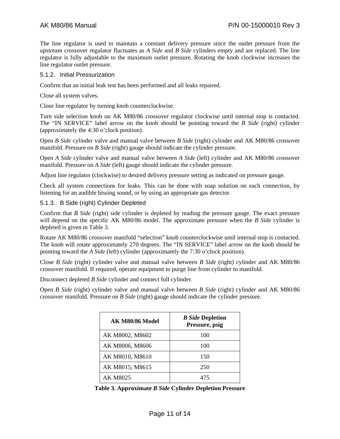The line regulator is used to maintain a constant delivery pressure since the outlet pressure from the upstream crossover regulator fluctuates as *A Side* and *B Side* cylinders empty and are replaced. The line regulator is fully adjustable to the maximum outlet pressure. Rotating the knob clockwise increases the line regulator outlet pressure.

#### 5.1.2. Initial Pressurization

Confirm that an initial leak test has been performed and all leaks repaired.

Close all system valves.

Close line regulator by turning knob counterclockwise.

Turn side selection knob on AK M80/86 crossover regulator clockwise until internal stop is contacted. The "IN SERVICE" label arrow on the knob should be pointing toward the *B Side* (right) cylinder (approximately the 4:30 o'clock position).

Open *B Side* cylinder valve and manual valve between *B Side* (right) cylinder and AK M80/86 crossover manifold. Pressure on *B Side* (right) gauge should indicate the cylinder pressure.

Open *A Side* cylinder valve and manual valve between *A Side* (left) cylinder and AK M80/86 crossover manifold. Pressure on *A Side* (left) gauge should indicate the cylinder pressure.

Adjust line regulator (clockwise) to desired delivery pressure setting as indicated on pressure gauge.

Check all system connections for leaks. This can be done with soap solution on each connection, by listening for an audible hissing sound, or by using an appropriate gas detector.

#### <span id="page-10-0"></span>5.1.3. B Side (right) Cylinder Depleted

Confirm that *B Side* (right) side cylinder is depleted by reading the pressure gauge. The exact pressure will depend on the specific AK M80/86 model. The approximate pressure when the *B Side* cylinder is depleted is given in [Table 3.](#page-10-1)

Rotate AK M80/86 crossover manifold "selection" knob counterclockwise until internal stop is contacted. The knob will rotate approximately 270 degrees. The "IN SERVICE" label arrow on the knob should be pointing toward the *A Side* (left) cylinder (approximately the 7:30 o'clock position).

Close *B Side* (right) cylinder valve and manual valve between *B Side* (right) cylinder and AK M80/86 crossover manifold. If required, operate equipment to purge line from cylinder to manifold.

Disconnect depleted *B Side* cylinder and connect full cylinder.

Open *B Side* (right) cylinder valve and manual valve between *B Side* (right) cylinder and AK M80/86 crossover manifold. Pressure on *B Side* (right) gauge should indicate the cylinder pressure.

| AK M80/86 Model | <b>B</b> Side Depletion<br>Pressure, psig |
|-----------------|-------------------------------------------|
| AK M8002, M8602 | 100                                       |
| AK M8006, M8606 | 100                                       |
| AK M8010, M8610 | 150                                       |
| AK M8015, M8615 | 250                                       |
| AK M8025        | 475                                       |

<span id="page-10-1"></span>**Table 3. Approximate** *B Side* **Cylinder Depletion Pressure**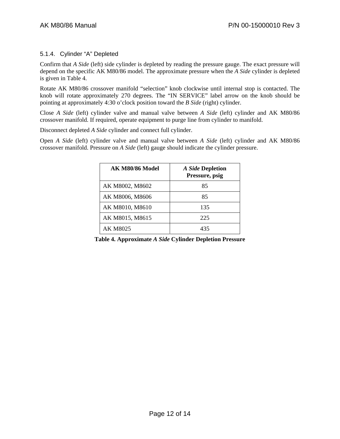#### <span id="page-11-0"></span>5.1.4. Cylinder "A" Depleted

Confirm that *A Side* (left) side cylinder is depleted by reading the pressure gauge. The exact pressure will depend on the specific AK M80/86 model. The approximate pressure when the *A Side* cylinder is depleted is given in [Table 4.](#page-11-1)

Rotate AK M80/86 crossover manifold "selection" knob clockwise until internal stop is contacted. The knob will rotate approximately 270 degrees. The "IN SERVICE" label arrow on the knob should be pointing at approximately 4:30 o'clock position toward the *B Side* (right) cylinder.

Close *A Side* (left) cylinder valve and manual valve between *A Side* (left) cylinder and AK M80/86 crossover manifold. If required, operate equipment to purge line from cylinder to manifold.

Disconnect depleted *A Side* cylinder and connect full cylinder.

Open *A Side* (left) cylinder valve and manual valve between *A Side* (left) cylinder and AK M80/86 crossover manifold. Pressure on *A Side* (left) gauge should indicate the cylinder pressure.

| <b>AK M80/86 Model</b> | <b>A Side Depletion</b><br>Pressure, psig |
|------------------------|-------------------------------------------|
| AK M8002, M8602        | 85                                        |
| AK M8006, M8606        | 85                                        |
| AK M8010, M8610        | 135                                       |
| AK M8015, M8615        | 225                                       |
| <b>AK M8025</b>        | 435                                       |

<span id="page-11-1"></span>**Table 4. Approximate** *A Side* **Cylinder Depletion Pressure**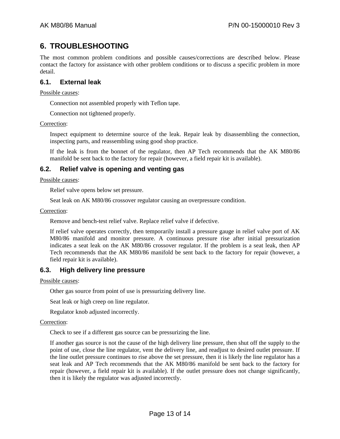## <span id="page-12-0"></span>**6. TROUBLESHOOTING**

The most common problem conditions and possible causes/corrections are described below. Please contact the factory for assistance with other problem conditions or to discuss a specific problem in more detail.

#### **6.1. External leak**

Possible causes:

Connection not assembled properly with Teflon tape.

Connection not tightened properly.

Correction:

Inspect equipment to determine source of the leak. Repair leak by disassembling the connection, inspecting parts, and reassembling using good shop practice.

If the leak is from the bonnet of the regulator, then AP Tech recommends that the AK M80/86 manifold be sent back to the factory for repair (however, a field repair kit is available).

#### **6.2. Relief valve is opening and venting gas**

Possible causes:

Relief valve opens below set pressure.

Seat leak on AK M80/86 crossover regulator causing an overpressure condition.

Correction:

Remove and bench-test relief valve. Replace relief valve if defective.

If relief valve operates correctly, then temporarily install a pressure gauge in relief valve port of AK M80/86 manifold and monitor pressure. A continuous pressure rise after initial pressurization indicates a seat leak on the AK M80/86 crossover regulator. If the problem is a seat leak, then AP Tech recommends that the AK M80/86 manifold be sent back to the factory for repair (however, a field repair kit is available).

#### **6.3. High delivery line pressure**

Possible causes:

Other gas source from point of use is pressurizing delivery line.

Seat leak or high creep on line regulator.

Regulator knob adjusted incorrectly.

#### Correction:

Check to see if a different gas source can be pressurizing the line.

If another gas source is not the cause of the high delivery line pressure, then shut off the supply to the point of use, close the line regulator, vent the delivery line, and readjust to desired outlet pressure. If the line outlet pressure continues to rise above the set pressure, then it is likely the line regulator has a seat leak and AP Tech recommends that the AK M80/86 manifold be sent back to the factory for repair (however, a field repair kit is available). If the outlet pressure does not change significantly, then it is likely the regulator was adjusted incorrectly.